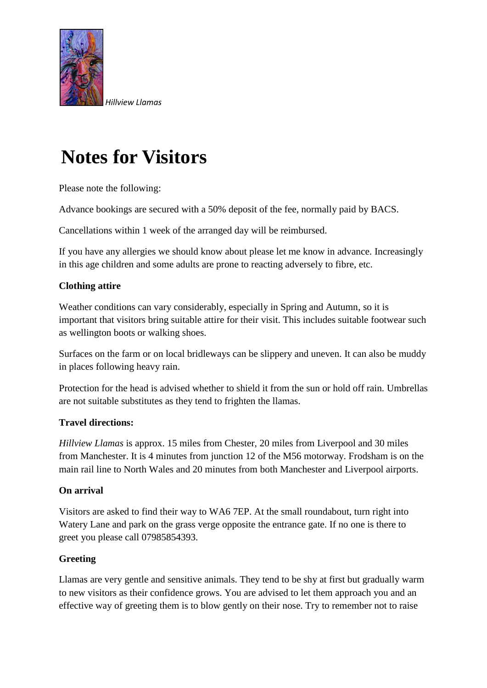

# **Notes for Visitors**

Please note the following:

Advance bookings are secured with a 50% deposit of the fee, normally paid by BACS.

Cancellations within 1 week of the arranged day will be reimbursed.

If you have any allergies we should know about please let me know in advance. Increasingly in this age children and some adults are prone to reacting adversely to fibre, etc.

## **Clothing attire**

Weather conditions can vary considerably, especially in Spring and Autumn, so it is important that visitors bring suitable attire for their visit. This includes suitable footwear such as wellington boots or walking shoes.

Surfaces on the farm or on local bridleways can be slippery and uneven. It can also be muddy in places following heavy rain.

Protection for the head is advised whether to shield it from the sun or hold off rain. Umbrellas are not suitable substitutes as they tend to frighten the llamas.

### **Travel directions:**

*Hillview Llamas* is approx. 15 miles from Chester, 20 miles from Liverpool and 30 miles from Manchester. It is 4 minutes from junction 12 of the M56 motorway. Frodsham is on the main rail line to North Wales and 20 minutes from both Manchester and Liverpool airports.

### **On arrival**

Visitors are asked to find their way to WA6 7EP. At the small roundabout, turn right into Watery Lane and park on the grass verge opposite the entrance gate. If no one is there to greet you please call 07985854393.

### **Greeting**

Llamas are very gentle and sensitive animals. They tend to be shy at first but gradually warm to new visitors as their confidence grows. You are advised to let them approach you and an effective way of greeting them is to blow gently on their nose. Try to remember not to raise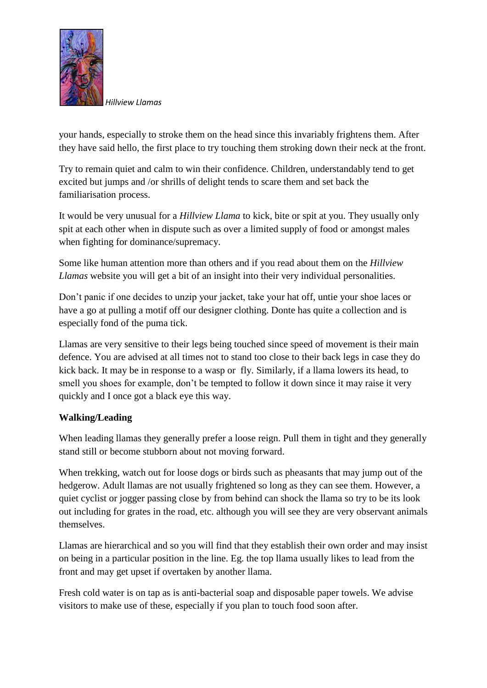

*Hillview Llamas*

your hands, especially to stroke them on the head since this invariably frightens them. After they have said hello, the first place to try touching them stroking down their neck at the front.

Try to remain quiet and calm to win their confidence. Children, understandably tend to get excited but jumps and /or shrills of delight tends to scare them and set back the familiarisation process.

It would be very unusual for a *Hillview Llama* to kick, bite or spit at you. They usually only spit at each other when in dispute such as over a limited supply of food or amongst males when fighting for dominance/supremacy.

Some like human attention more than others and if you read about them on the *Hillview Llamas* website you will get a bit of an insight into their very individual personalities.

Don't panic if one decides to unzip your jacket, take your hat off, untie your shoe laces or have a go at pulling a motif off our designer clothing. Donte has quite a collection and is especially fond of the puma tick.

Llamas are very sensitive to their legs being touched since speed of movement is their main defence. You are advised at all times not to stand too close to their back legs in case they do kick back. It may be in response to a wasp or fly. Similarly, if a llama lowers its head, to smell you shoes for example, don't be tempted to follow it down since it may raise it very quickly and I once got a black eye this way.

### **Walking/Leading**

When leading llamas they generally prefer a loose reign. Pull them in tight and they generally stand still or become stubborn about not moving forward.

When trekking, watch out for loose dogs or birds such as pheasants that may jump out of the hedgerow. Adult llamas are not usually frightened so long as they can see them. However, a quiet cyclist or jogger passing close by from behind can shock the llama so try to be its look out including for grates in the road, etc. although you will see they are very observant animals themselves.

Llamas are hierarchical and so you will find that they establish their own order and may insist on being in a particular position in the line. Eg. the top llama usually likes to lead from the front and may get upset if overtaken by another llama.

Fresh cold water is on tap as is anti-bacterial soap and disposable paper towels. We advise visitors to make use of these, especially if you plan to touch food soon after.